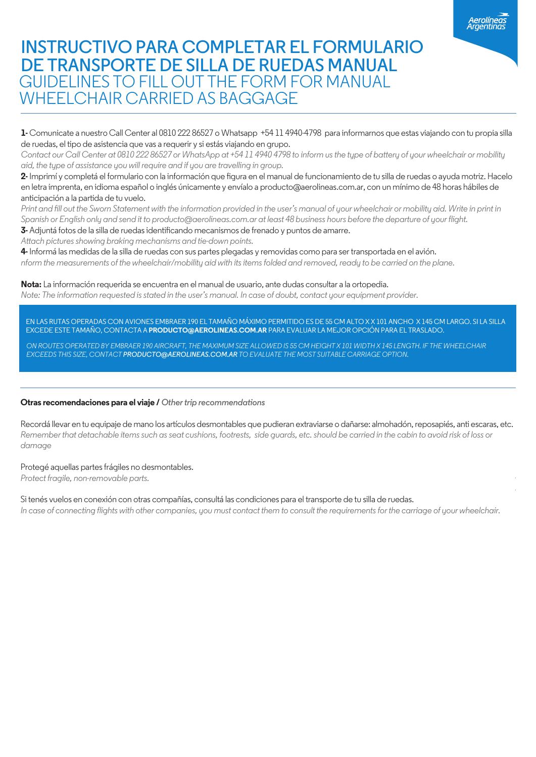# **INSTRUCTIVO PARA COMPLETAR EL FORMULARIO DE TRANSPORTE DE SILLA DE RUEDAS MANUAL** GUIDELINES TO FILL OUT THE FORM FOR MANUAL WHEELCHAIR CARRIED AS BAGGAGE

**1-** Comunicate a nuestro Call Center al 0810 222 86527 o Whatsapp +54 11 4940-4798 para informarnos que estas viajando con tu propia silla de ruedas, el tipo de asistencia que vas a requerir y si estás viajando en grupo.

*Contact our Call Center at 0810 222 86527 or WhatsApp at +54 11 4940 4798 to inform us the type of battery of your wheelchair or mobility aid, the type of assistance you will require and if you are travelling in group.*

2- Imprimí y completá el formulario con la información que fiqura en el manual de funcionamiento de tu silla de ruedas o ayuda motriz. Hacelo en letra imprenta, en idioma español o inglés únicamente y envíalo a producto@aerolineas.com.ar, con un mínimo de 48 horas hábiles de anticipación a la partida de tu vuelo.

Print and fill out the Sworn Statement with the information provided in the user's manual of your wheelchair or mobility aid. Write in print in *Spanish or English only and send it to producto@aerolineas.com.ar at least 48 business hours before the departure of your flight.*

3- Adjuntá fotos de la silla de ruedas identificando mecanismos de frenado y puntos de amarre.

*Attach pictures showing braking mechanisms and tie-down points.*

**4-** Informá las medidas de la silla de ruedas con sus partes plegadas y removidas como para ser transportada en el avión. *nform the measurements of the wheelchair/mobility aid with its items folded and removed, ready to be carried on the plane.*

**Nota:** La información requerida se encuentra en el manual de usuario, ante dudas consultar a la ortopedia. *Note: The information requested is stated in the user's manual. In case of doubt, contact your equipment provider.*

EN LAS RUTAS OPERADAS CON AVIONES EMBRAER 190 EL TAMAÑO MÁXIMO PERMITIDO ES DE 55 CM ALTO X X 101 ANCHO X 145 CM LARGO. SI LA SILLA EXCEDE ESTE TAMAÑO, CONTACTA A **PRODUCTO@AEROLINEAS.COM.AR** PARA EVALUAR LA MEJOR OPCIÓN PARA EL TRASLADO.

*ON ROUTES OPERATED BY EMBRAER 190 AIRCRAFT, THE MAXIMUM SIZE ALLOWED IS 55 CM HEIGHT X 101 WIDTH X 145 LENGTH. IF THE WHEELCHAIR EXCEEDS THIS SIZE, CONTACT PRODUCTO@AEROLINEAS.COM.AR TO EVALUATE THE MOST SUITABLE CARRIAGE OPTION.*

#### **Otras recomendaciones para el viaje /** *Other trip recommendations*

Recordá llevar en tu equipaje de mano los artículos desmontables que pudieran extraviarse o dañarse: almohadón, reposapiés, anti escaras, etc. *Remember that detachable items such as seat cushions, footrests, side guards, etc. should be carried in the cabin to avoid risk of loss or damage*

#### Protegé aquellas partes frágiles no desmontables.

*Protect fragile, non-removable parts.*

Si tenés vuelos en conexión con otras compañías, consultá las condiciones para el transporte de tu silla de ruedas.

*In case of connecting flights with other companies, you must contact them to consult the requirements for the carriage of your wheelchair.*